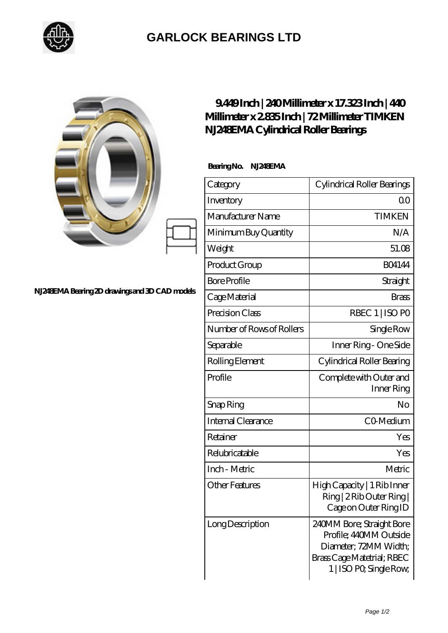

## **[GARLOCK BEARINGS LTD](https://m.letterstopriests.com)**

|                                                 | 9449Inch   240Millimeter x 17.323Inch   440<br>Millimeter x 2835 Inch   72 Millimeter TIMKEN<br>N.1248EMA Cylindrical Roller Bearings |                                                                                                                                       |
|-------------------------------------------------|---------------------------------------------------------------------------------------------------------------------------------------|---------------------------------------------------------------------------------------------------------------------------------------|
| N.1248EMA Bearing 2D drawings and 3D CAD models | BearingNo.<br>NJ248EMA                                                                                                                |                                                                                                                                       |
|                                                 | Category                                                                                                                              | Cylindrical Roller Bearings                                                                                                           |
|                                                 | Inventory                                                                                                                             | 0 <sup>0</sup>                                                                                                                        |
|                                                 | Manufacturer Name                                                                                                                     | <b>TIMKEN</b>                                                                                                                         |
|                                                 | Minimum Buy Quantity                                                                                                                  | N/A                                                                                                                                   |
|                                                 | Weight                                                                                                                                | 51.08                                                                                                                                 |
|                                                 | Product Group                                                                                                                         | <b>BO4144</b>                                                                                                                         |
|                                                 | <b>Bore Profile</b>                                                                                                                   | Straight                                                                                                                              |
|                                                 | Cage Material                                                                                                                         | <b>Brass</b>                                                                                                                          |
|                                                 | Precision Class                                                                                                                       | RBEC 1   ISO PO                                                                                                                       |
|                                                 | Number of Rows of Rollers                                                                                                             | Single Row                                                                                                                            |
|                                                 | Separable                                                                                                                             | Inner Ring - One Side                                                                                                                 |
|                                                 | Rolling Element                                                                                                                       | Cylindrical Roller Bearing                                                                                                            |
|                                                 | Profile                                                                                                                               | Complete with Outer and<br>Inner Ring                                                                                                 |
|                                                 | Snap Ring                                                                                                                             | No                                                                                                                                    |
|                                                 | Internal Clearance                                                                                                                    | CO-Medium                                                                                                                             |
|                                                 | Retainer                                                                                                                              | Yes                                                                                                                                   |
|                                                 | Relubricatable                                                                                                                        | Yes                                                                                                                                   |
|                                                 | Inch - Metric                                                                                                                         | Metric                                                                                                                                |
|                                                 | <b>Other Features</b>                                                                                                                 | High Capacity   1 Rib Inner<br>Ring   2 Rib Outer Ring  <br>Cage on Outer Ring ID                                                     |
|                                                 | Long Description                                                                                                                      | 240MM Bore; Straight Bore<br>Profile; 440MM Outside<br>Diameter; 72MM Width;<br>Brass Cage Matetrial; RBEC<br>1   ISO PO, Single Row, |